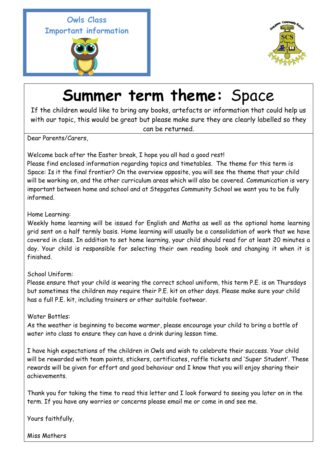**Owls Class Important information** 





## **Summer term theme:** Space

If the children would like to bring any books, artefacts or information that could help us with our topic, this would be great but please make sure they are clearly labelled so they

can be returned.

Dear Parents/Carers,

Welcome back after the Easter break, I hope you all had a good rest!

Please find enclosed information regarding topics and timetables. The theme for this term is Space: Is it the final frontier? On the overview opposite, you will see the theme that your child will be working on, and the other curriculum areas which will also be covered. Communication is very important between home and school and at Stepgates Community School we want you to be fully informed.

## Home Learning:

Weekly home learning will be issued for English and Maths as well as the optional home learning grid sent on a half termly basis. Home learning will usually be a consolidation of work that we have covered in class. In addition to set home learning, your child should read for at least 20 minutes a day. Your child is responsible for selecting their own reading book and changing it when it is finished.

## School Uniform:

Please ensure that your child is wearing the correct school uniform, this term P.E. is on Thursdays but sometimes the children may require their P.E. kit on other days. Please make sure your child has a full P.E. kit, including trainers or other suitable footwear.

## Water Bottles:

As the weather is beginning to become warmer, please encourage your child to bring a bottle of water into class to ensure they can have a drink during lesson time.

I have high expectations of the children in Owls and wish to celebrate their success. Your child will be rewarded with team points, stickers, certificates, raffle tickets and 'Super Student'. These rewards will be given for effort and good behaviour and I know that you will enjoy sharing their achievements.

Thank you for taking the time to read this letter and I look forward to seeing you later on in the term. If you have any worries or concerns please email me or come in and see me.

Yours faithfully,

Miss Mathers